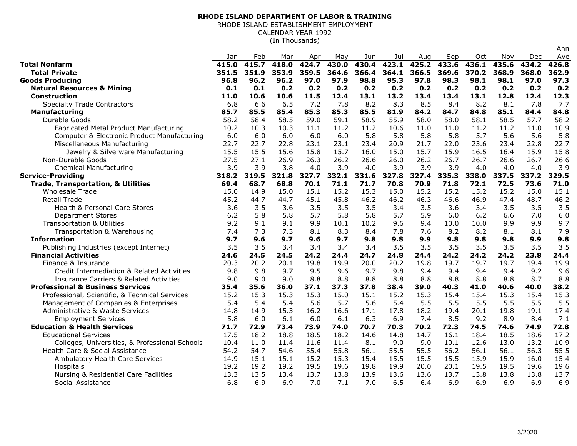## **RHODE ISLAND DEPARTMENT OF LABOR & TRAINING**

RHODE ISLAND ESTABLISHMENT EMPLOYMENTCALENDAR YEAR 1992

(In Thousands)

|                                                    | Jan   | Feb   | Mar   | Apr   | May   | Jun   | Jul   | Aug   | Sep   | Oct   | Nov   | Dec   | Ave   |
|----------------------------------------------------|-------|-------|-------|-------|-------|-------|-------|-------|-------|-------|-------|-------|-------|
| <b>Total Nonfarm</b>                               | 415.0 | 415.7 | 418.0 | 424.7 | 430.0 | 430.4 | 423.1 | 425.2 | 433.6 | 436.1 | 435.6 | 434.2 | 426.8 |
| <b>Total Private</b>                               | 351.5 | 351.9 | 353.9 | 359.5 | 364.6 | 366.4 | 364.1 | 366.5 | 369.6 | 370.2 | 368.9 | 368.0 | 362.9 |
| <b>Goods Producing</b>                             | 96.8  | 96.2  | 96.2  | 97.0  | 97.9  | 98.8  | 95.3  | 97.8  | 98.3  | 98.1  | 98.1  | 97.0  | 97.3  |
| <b>Natural Resources &amp; Mining</b>              | 0.1   | 0.1   | 0.2   | 0.2   | 0.2   | 0.2   | 0.2   | 0.2   | 0.2   | 0.2   | 0.2   | 0.2   | 0.2   |
| Construction                                       | 11.0  | 10.6  | 10.6  | 11.5  | 12.4  | 13.1  | 13.2  | 13.4  | 13.4  | 13.1  | 12.8  | 12.4  | 12.3  |
| <b>Specialty Trade Contractors</b>                 | 6.8   | 6.6   | 6.5   | 7.2   | 7.8   | 8.2   | 8.3   | 8.5   | 8.4   | 8.2   | 8.1   | 7.8   | 7.7   |
| Manufacturing                                      | 85.7  | 85.5  | 85.4  | 85.3  | 85.3  | 85.5  | 81.9  | 84.2  | 84.7  | 84.8  | 85.1  | 84.4  | 84.8  |
| Durable Goods                                      | 58.2  | 58.4  | 58.5  | 59.0  | 59.1  | 58.9  | 55.9  | 58.0  | 58.0  | 58.1  | 58.5  | 57.7  | 58.2  |
| Fabricated Metal Product Manufacturing             | 10.2  | 10.3  | 10.3  | 11.1  | 11.2  | 11.2  | 10.6  | 11.0  | 11.0  | 11.2  | 11.2  | 11.0  | 10.9  |
| Computer & Electronic Product Manufacturing        | 6.0   | 6.0   | 6.0   | 6.0   | 6.0   | 5.8   | 5.8   | 5.8   | 5.8   | 5.7   | 5.6   | 5.6   | 5.8   |
| Miscellaneous Manufacturing                        | 22.7  | 22.7  | 22.8  | 23.1  | 23.1  | 23.4  | 20.9  | 21.7  | 22.0  | 23.6  | 23.4  | 22.8  | 22.7  |
| Jewelry & Silverware Manufacturing                 | 15.5  | 15.5  | 15.6  | 15.8  | 15.7  | 16.0  | 15.0  | 15.7  | 15.9  | 16.5  | 16.4  | 15.9  | 15.8  |
| Non-Durable Goods                                  | 27.5  | 27.1  | 26.9  | 26.3  | 26.2  | 26.6  | 26.0  | 26.2  | 26.7  | 26.7  | 26.6  | 26.7  | 26.6  |
| <b>Chemical Manufacturing</b>                      | 3.9   | 3.9   | 3.8   | 4.0   | 3.9   | 4.0   | 3.9   | 3.9   | 3.9   | 4.0   | 4.0   | 4.0   | 3.9   |
| <b>Service-Providing</b>                           | 318.2 | 319.5 | 321.8 | 327.7 | 332.1 | 331.6 | 327.8 | 327.4 | 335.3 | 338.0 | 337.5 | 337.2 | 329.5 |
| <b>Trade, Transportation, &amp; Utilities</b>      | 69.4  | 68.7  | 68.8  | 70.1  | 71.1  | 71.7  | 70.8  | 70.9  | 71.8  | 72.1  | 72.5  | 73.6  | 71.0  |
| <b>Wholesale Trade</b>                             | 15.0  | 14.9  | 15.0  | 15.1  | 15.2  | 15.3  | 15.0  | 15.2  | 15.2  | 15.2  | 15.2  | 15.0  | 15.1  |
| <b>Retail Trade</b>                                | 45.2  | 44.7  | 44.7  | 45.1  | 45.8  | 46.2  | 46.2  | 46.3  | 46.6  | 46.9  | 47.4  | 48.7  | 46.2  |
| Health & Personal Care Stores                      | 3.6   | 3.5   | 3.6   | 3.5   | 3.5   | 3.5   | 3.4   | 3.5   | 3.6   | 3.4   | 3.5   | 3.5   | 3.5   |
| <b>Department Stores</b>                           | 6.2   | 5.8   | 5.8   | 5.7   | 5.8   | 5.8   | 5.7   | 5.9   | 6.0   | 6.2   | 6.6   | 7.0   | 6.0   |
| <b>Transportation &amp; Utilities</b>              | 9.2   | 9.1   | 9.1   | 9.9   | 10.1  | 10.2  | 9.6   | 9.4   | 10.0  | 10.0  | 9.9   | 9.9   | 9.7   |
| Transportation & Warehousing                       | 7.4   | 7.3   | 7.3   | 8.1   | 8.3   | 8.4   | 7.8   | 7.6   | 8.2   | 8.2   | 8.1   | 8.1   | 7.9   |
| <b>Information</b>                                 | 9.7   | 9.6   | 9.7   | 9.6   | 9.7   | 9.8   | 9.8   | 9.9   | 9.8   | 9.8   | 9.8   | 9.9   | 9.8   |
| Publishing Industries (except Internet)            | 3.5   | 3.5   | 3.4   | 3.4   | 3.4   | 3.4   | 3.5   | 3.5   | 3.5   | 3.5   | 3.5   | 3.5   | 3.5   |
| <b>Financial Activities</b>                        | 24.6  | 24.5  | 24.5  | 24.2  | 24.4  | 24.7  | 24.8  | 24.4  | 24.2  | 24.2  | 24.2  | 23.8  | 24.4  |
| Finance & Insurance                                | 20.3  | 20.2  | 20.1  | 19.8  | 19.9  | 20.0  | 20.2  | 19.8  | 19.7  | 19.7  | 19.7  | 19.4  | 19.9  |
| Credit Intermediation & Related Activities         | 9.8   | 9.8   | 9.7   | 9.5   | 9.6   | 9.7   | 9.8   | 9.4   | 9.4   | 9.4   | 9.4   | 9.2   | 9.6   |
| <b>Insurance Carriers &amp; Related Activities</b> | 9.0   | 9.0   | 9.0   | 8.8   | 8.8   | 8.8   | 8.8   | 8.8   | 8.8   | 8.8   | 8.8   | 8.7   | 8.8   |
| <b>Professional &amp; Business Services</b>        | 35.4  | 35.6  | 36.0  | 37.1  | 37.3  | 37.8  | 38.4  | 39.0  | 40.3  | 41.0  | 40.6  | 40.0  | 38.2  |
| Professional, Scientific, & Technical Services     | 15.2  | 15.3  | 15.3  | 15.3  | 15.0  | 15.1  | 15.2  | 15.3  | 15.4  | 15.4  | 15.3  | 15.4  | 15.3  |
| Management of Companies & Enterprises              | 5.4   | 5.4   | 5.4   | 5.6   | 5.7   | 5.6   | 5.4   | 5.5   | 5.5   | 5.5   | 5.5   | 5.5   | 5.5   |
| Administrative & Waste Services                    | 14.8  | 14.9  | 15.3  | 16.2  | 16.6  | 17.1  | 17.8  | 18.2  | 19.4  | 20.1  | 19.8  | 19.1  | 17.4  |
| <b>Employment Services</b>                         | 5.8   | 6.0   | 6.1   | 6.0   | 6.1   | 6.3   | 6.9   | 7.4   | 8.5   | 9.2   | 8.9   | 8.4   | 7.1   |
| <b>Education &amp; Health Services</b>             | 71.7  | 72.9  | 73.4  | 73.9  | 74.0  | 70.7  | 70.3  | 70.2  | 72.3  | 74.5  | 74.6  | 74.9  | 72.8  |
| <b>Educational Services</b>                        | 17.5  | 18.2  | 18.8  | 18.5  | 18.2  | 14.6  | 14.8  | 14.7  | 16.1  | 18.4  | 18.5  | 18.6  | 17.2  |
| Colleges, Universities, & Professional Schools     | 10.4  | 11.0  | 11.4  | 11.6  | 11.4  | 8.1   | 9.0   | 9.0   | 10.1  | 12.6  | 13.0  | 13.2  | 10.9  |
| Health Care & Social Assistance                    | 54.2  | 54.7  | 54.6  | 55.4  | 55.8  | 56.1  | 55.5  | 55.5  | 56.2  | 56.1  | 56.1  | 56.3  | 55.5  |
| Ambulatory Health Care Services                    | 14.9  | 15.1  | 15.1  | 15.2  | 15.3  | 15.4  | 15.5  | 15.5  | 15.5  | 15.9  | 15.9  | 16.0  | 15.4  |
| Hospitals                                          | 19.2  | 19.2  | 19.2  | 19.5  | 19.6  | 19.8  | 19.9  | 20.0  | 20.1  | 19.5  | 19.5  | 19.6  | 19.6  |
| Nursing & Residential Care Facilities              | 13.3  | 13.5  | 13.4  | 13.7  | 13.8  | 13.9  | 13.6  | 13.6  | 13.7  | 13.8  | 13.8  | 13.8  | 13.7  |
| Social Assistance                                  | 6.8   | 6.9   | 6.9   | 7.0   | 7.1   | 7.0   | 6.5   | 6.4   | 6.9   | 6.9   | 6.9   | 6.9   | 6.9   |

Ann